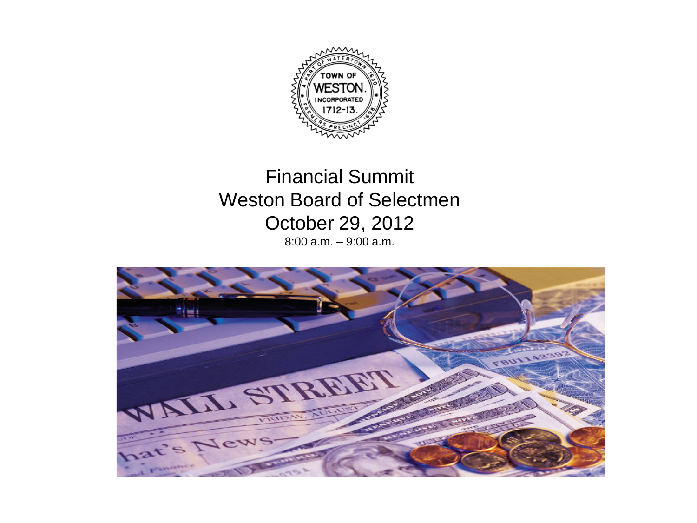

Financial Summit Weston Board of Selectmen October 29, 2012 8:00 a.m. – 9:00 a.m.

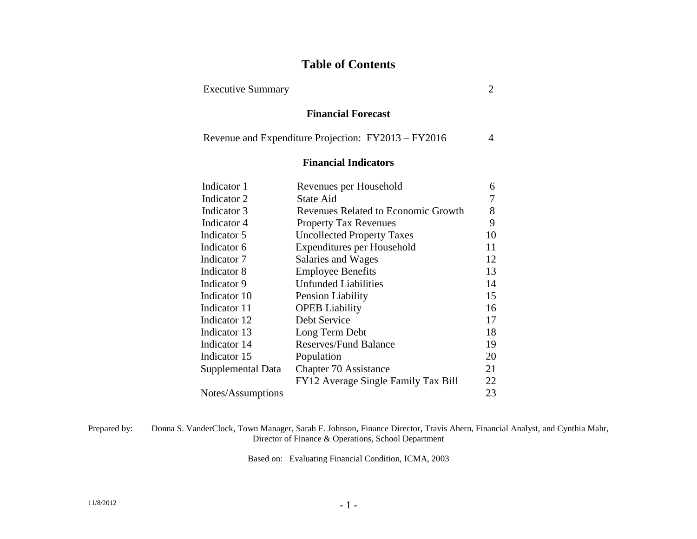### **Table of Contents**

Executive Summary 2

### **Financial Forecast**

| Revenue and Expenditure Projection: FY2013 – FY2016 |  |  |
|-----------------------------------------------------|--|--|
|-----------------------------------------------------|--|--|

### **Financial Indicators**

| Indicator 1       | Revenues per Household              | 6  |
|-------------------|-------------------------------------|----|
| Indicator 2       | State Aid                           |    |
| Indicator 3       | Revenues Related to Economic Growth | 8  |
| Indicator 4       | <b>Property Tax Revenues</b>        | 9  |
| Indicator 5       | <b>Uncollected Property Taxes</b>   | 10 |
| Indicator 6       | Expenditures per Household          | 11 |
| Indicator 7       | Salaries and Wages                  | 12 |
| Indicator 8       | <b>Employee Benefits</b>            | 13 |
| Indicator 9       | <b>Unfunded Liabilities</b>         | 14 |
| Indicator 10      | Pension Liability                   | 15 |
| Indicator 11      | <b>OPEB</b> Liability               | 16 |
| Indicator 12      | Debt Service                        | 17 |
| Indicator 13      | Long Term Debt                      | 18 |
| Indicator 14      | <b>Reserves/Fund Balance</b>        | 19 |
| Indicator 15      | Population                          | 20 |
| Supplemental Data | Chapter 70 Assistance               | 21 |
|                   | FY12 Average Single Family Tax Bill | 22 |
| Notes/Assumptions |                                     | 23 |

Prepared by: Donna S. VanderClock, Town Manager, Sarah F. Johnson, Finance Director, Travis Ahern, Financial Analyst, and Cynthia Mahr, Director of Finance & Operations, School Department

Based on: Evaluating Financial Condition, ICMA, 2003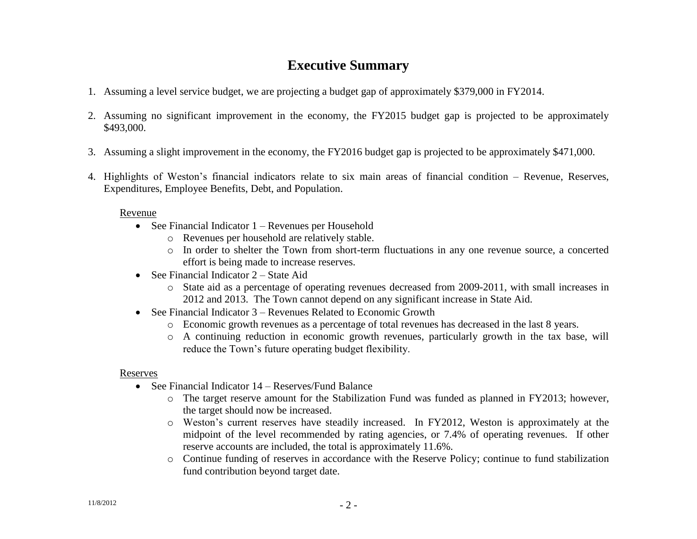## **Executive Summary**

- 1. Assuming a level service budget, we are projecting a budget gap of approximately \$379,000 in FY2014.
- 2. Assuming no significant improvement in the economy, the FY2015 budget gap is projected to be approximately \$493,000.
- 3. Assuming a slight improvement in the economy, the FY2016 budget gap is projected to be approximately \$471,000.
- 4. Highlights of Weston's financial indicators relate to six main areas of financial condition Revenue, Reserves, Expenditures, Employee Benefits, Debt, and Population.

### Revenue

- See Financial Indicator  $1 -$ Revenues per Household
	- o Revenues per household are relatively stable.
	- o In order to shelter the Town from short-term fluctuations in any one revenue source, a concerted effort is being made to increase reserves.
- See Financial Indicator  $2 -$  State Aid
	- o State aid as a percentage of operating revenues decreased from 2009-2011, with small increases in 2012 and 2013. The Town cannot depend on any significant increase in State Aid.
- See Financial Indicator 3 Revenues Related to Economic Growth
	- o Economic growth revenues as a percentage of total revenues has decreased in the last 8 years.
	- o A continuing reduction in economic growth revenues, particularly growth in the tax base, will reduce the Town's future operating budget flexibility.

### Reserves

- See Financial Indicator 14 Reserves/Fund Balance
	- $\circ$  The target reserve amount for the Stabilization Fund was funded as planned in FY2013; however, the target should now be increased.
	- o Weston's current reserves have steadily increased. In FY2012, Weston is approximately at the midpoint of the level recommended by rating agencies, or 7.4% of operating revenues. If other reserve accounts are included, the total is approximately 11.6%.
	- o Continue funding of reserves in accordance with the Reserve Policy; continue to fund stabilization fund contribution beyond target date.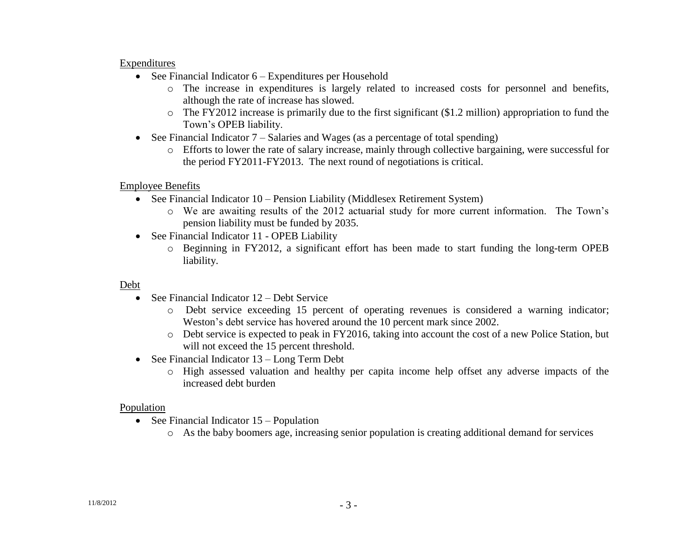#### Expenditures

- See Financial Indicator  $6 -$  Expenditures per Household
	- o The increase in expenditures is largely related to increased costs for personnel and benefits, although the rate of increase has slowed.
	- o The FY2012 increase is primarily due to the first significant (\$1.2 million) appropriation to fund the Town's OPEB liability.
- See Financial Indicator 7 Salaries and Wages (as a percentage of total spending)
	- o Efforts to lower the rate of salary increase, mainly through collective bargaining, were successful for the period FY2011-FY2013. The next round of negotiations is critical.

### Employee Benefits

- See Financial Indicator 10 Pension Liability (Middlesex Retirement System)
	- o We are awaiting results of the 2012 actuarial study for more current information. The Town's pension liability must be funded by 2035.
- See Financial Indicator 11 OPEB Liability
	- o Beginning in FY2012, a significant effort has been made to start funding the long-term OPEB liability.

### Debt

- See Financial Indicator 12 Debt Service
	- o Debt service exceeding 15 percent of operating revenues is considered a warning indicator; Weston's debt service has hovered around the 10 percent mark since 2002.
	- o Debt service is expected to peak in FY2016, taking into account the cost of a new Police Station, but will not exceed the 15 percent threshold.
- See Financial Indicator 13 Long Term Debt
	- o High assessed valuation and healthy per capita income help offset any adverse impacts of the increased debt burden

### Population

- See Financial Indicator  $15 -$ Population
	- o As the baby boomers age, increasing senior population is creating additional demand for services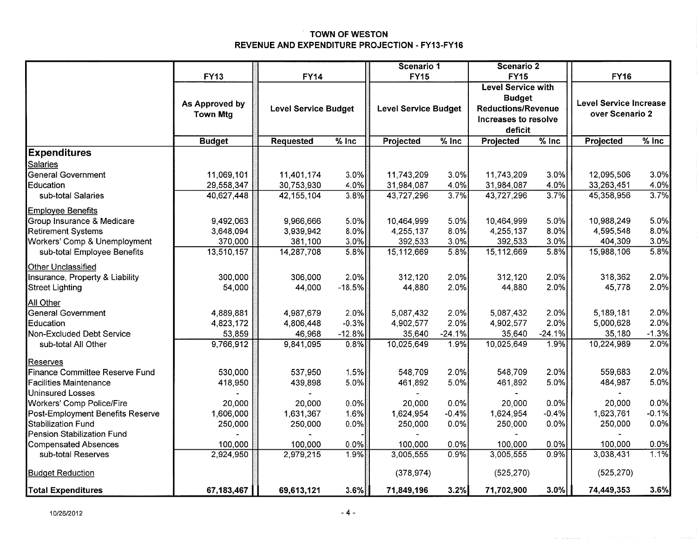#### **TOWN OF WESTON** REVENUE AND EXPENDITURE PROJECTION - FY13-FY16

|                                  |                 |                             |          | Scenario 1                  |          | Scenario 2                |          |                               |         |
|----------------------------------|-----------------|-----------------------------|----------|-----------------------------|----------|---------------------------|----------|-------------------------------|---------|
|                                  | <b>FY13</b>     | <b>FY14</b>                 |          | <b>FY15</b>                 |          | <b>FY15</b>               |          | <b>FY16</b>                   |         |
|                                  |                 |                             |          |                             |          | <b>Level Service with</b> |          |                               |         |
|                                  |                 |                             |          |                             |          | <b>Budget</b>             |          |                               |         |
|                                  | As Approved by  | <b>Level Service Budget</b> |          | <b>Level Service Budget</b> |          | <b>Reductions/Revenue</b> |          | <b>Level Service Increase</b> |         |
|                                  | <b>Town Mtg</b> |                             |          |                             |          | Increases to resolve      |          | over Scenario 2               |         |
|                                  |                 |                             |          |                             |          | deficit                   |          |                               |         |
|                                  | <b>Budget</b>   | <b>Requested</b>            | $%$ Inc  | Projected                   | $%$ Inc  | Projected                 | $%$ Inc  | Projected                     | $%$ Inc |
| <b>Expenditures</b>              |                 |                             |          |                             |          |                           |          |                               |         |
| <b>Salaries</b>                  |                 |                             |          |                             |          |                           |          |                               |         |
| <b>General Government</b>        | 11,069,101      | 11,401,174                  | 3.0%     | 11,743,209                  | 3.0%     | 11,743,209                | 3.0%     | 12,095,506                    | 3.0%    |
| Education                        | 29,558,347      | 30,753,930                  | 4.0%     | 31,984,087                  | 4.0%     | 31,984,087                | 4.0%     | 33,263,451                    | 4.0%    |
| sub-total Salaries               | 40,627,448      | 42, 155, 104                | 3.8%     | 43,727,296                  | 3.7%     | 43,727,296                | 3.7%     | 45,358,956                    | 3.7%    |
| <b>Employee Benefits</b>         |                 |                             |          |                             |          |                           |          |                               |         |
| Group Insurance & Medicare       | 9,492,063       | 9,966,666                   | 5.0%     | 10,464,999                  | 5.0%     | 10,464,999                | 5.0%     | 10,988,249                    | 5.0%    |
| <b>Retirement Systems</b>        | 3,648,094       | 3,939,942                   | $8.0\%$  | 4,255,137                   | 8.0%     | 4,255,137                 | 8.0%     | 4,595,548                     | 8.0%    |
| Workers' Comp & Unemployment     | 370,000         | 381,100                     | 3.0%     | 392,533                     | 3.0%     | 392,533                   | 3.0%     | 404,309                       | 3.0%    |
| sub-total Employee Benefits      | 13,510,157      | 14,287,708                  | 5.8%     | 15,112,669                  | 5.8%     | 15,112,669                | 5.8%     | 15,988,106                    | 5.8%    |
| Other Unclassified               |                 |                             |          |                             |          |                           |          |                               |         |
| Insurance, Property & Liability  | 300,000         | 306,000                     | 2.0%     | 312,120                     | 2.0%     | 312,120                   | 2.0%     | 318,362                       | 2.0%    |
| Street Lighting                  | 54,000          | 44,000                      | $-18.5%$ | 44,880                      | 2.0%     | 44,880                    | 2.0%     | 45,778                        | 2.0%    |
| All Other                        |                 |                             |          |                             |          |                           |          |                               |         |
| General Government               | 4,889,881       | 4,987,679                   | 2.0%     | 5,087,432                   | 2.0%     | 5,087,432                 | 2.0%     | 5,189,181                     | 2.0%    |
| Education                        | 4,823,172       | 4,806,448                   | $-0.3%$  | 4,902,577                   | 2.0%     | 4,902,577                 | 2.0%     | 5,000,628                     | 2.0%    |
| Non-Excluded Debt Service        | 53,859          | 46,968                      | $-12.8%$ | 35,640                      | $-24.1%$ | 35,640                    | $-24.1%$ | 35,180                        | $-1.3%$ |
| sub-total All Other              | 9,766,912       | 9,841,095                   | 0.8%     | 10,025,649                  | 1.9%     | 10,025,649                | 1.9%     | 10,224,989                    | 2.0%    |
| Reserves                         |                 |                             |          |                             |          |                           |          |                               |         |
| Finance Committee Reserve Fund   | 530,000         | 537,950                     | 1.5%     | 548,709                     | 2.0%     | 548,709                   | 2.0%     | 559,683                       | 2.0%    |
| <b>Facilities Maintenance</b>    | 418,950         | 439,898                     | 5.0%     | 461,892                     | 5.0%     | 461,892                   | 5.0%     | 484,987                       | 5.0%    |
| <b>Uninsured Losses</b>          |                 |                             |          |                             |          |                           |          |                               |         |
| Workers' Comp Police/Fire        | 20,000          | 20,000                      | 0.0%     | 20,000                      | 0.0%     | 20,000                    | 0.0%     | 20,000                        | 0.0%    |
| Post-Employment Benefits Reserve | 1,606,000       | 1,631,367                   | 1.6%     | 1,624,954                   | $-0.4%$  | 1,624,954                 | $-0.4%$  | 1,623,761                     | $-0.1%$ |
| Stabilization Fund               | 250,000         | 250,000                     | 0.0%     | 250,000                     | 0.0%     | 250,000                   | 0.0%     | 250,000                       | 0.0%    |
| Pension Stabilization Fund       |                 |                             |          |                             |          |                           |          |                               |         |
| Compensated Absences             | 100,000         | 100,000                     | 0.0%     | 100,000                     | 0.0%     | 100,000                   | 0.0%     | 100,000                       | 0.0%    |
| sub-total Reserves               | 2,924,950       | 2,979,215                   | 1.9%     | 3,005,555                   | 0.9%     | 3,005,555                 | 0.9%     | 3,038,431                     | 1.1%    |
| <b>Budget Reduction</b>          |                 |                             |          | (378, 974)                  |          | (525, 270)                |          | (525, 270)                    |         |
| <b>Total Expenditures</b>        | 67,183,467      | 69,613,121                  | 3.6%     | 71,849,196                  | 3.2%     | 71,702,900                | $3.0\%$  | 74,449,353                    | 3.6%    |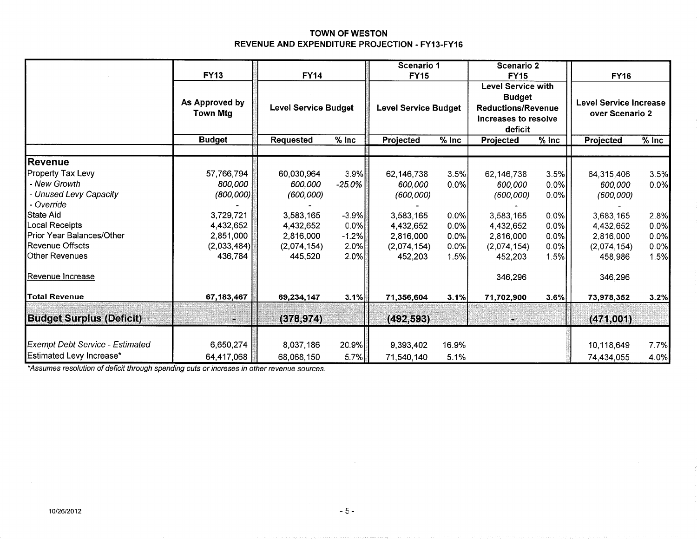#### TOWN OF WESTON REVENUE AND EXPENDITURE PROJECTION - FY13-FY16

|                                        |                                   |                             |           | Scenario 1                  |         | <b>Scenario 2</b>                                                                                          |         |                                                  |                              |
|----------------------------------------|-----------------------------------|-----------------------------|-----------|-----------------------------|---------|------------------------------------------------------------------------------------------------------------|---------|--------------------------------------------------|------------------------------|
|                                        | <b>FY13</b>                       | <b>FY14</b>                 |           | <b>FY15</b>                 |         | <b>FY15</b>                                                                                                |         | <b>FY16</b>                                      |                              |
|                                        | As Approved by<br><b>Town Mtg</b> | <b>Level Service Budget</b> |           | <b>Level Service Budget</b> |         | <b>Level Service with</b><br><b>Budget</b><br><b>Reductions/Revenue</b><br>Increases to resolve<br>deficit |         | <b>Level Service Increase</b><br>over Scenario 2 |                              |
|                                        | <b>Budget</b>                     | <b>Requested</b>            | $%$ Inc   | Projected                   | $%$ Inc | Projected                                                                                                  | $%$ Inc | Projected                                        | $\sqrt[6]{\frac{1}{2}}$ Inc. |
| Revenue                                |                                   |                             |           |                             |         |                                                                                                            |         |                                                  |                              |
| <b>Property Tax Levy</b>               | 57,766,794                        | 60,030,964                  | 3.9%      | 62,146,738                  | 3.5%    | 62,146,738                                                                                                 | 3.5%    | 64,315,406                                       | 3.5%                         |
| - New Growth                           | 800,000                           | 600,000                     | $-25.0\%$ | 600,000                     | 0.0%    | 600,000                                                                                                    | 0.0%    | 600,000                                          | 0.0%                         |
| - Unused Levy Capacity                 | (800,000)                         | (600, 000)                  |           | (600, 000)                  |         | (600, 000)                                                                                                 | 0.0%    | (600, 000)                                       |                              |
| - Override                             |                                   |                             |           |                             |         |                                                                                                            |         |                                                  |                              |
| State Aid                              | 3,729,721                         | 3,583,165                   | $-3.9%$   | 3,583,165                   | 0.0%    | 3,583,165                                                                                                  | 0.0%    | 3,683,165                                        | 2.8%                         |
| Local Receipts                         | 4,432,652                         | 4,432,652                   | $0.0\%$   | 4,432,652                   | 0.0%    | 4,432,652                                                                                                  | 0.0%    | 4,432,652                                        | 0.0%                         |
| Prior Year Balances/Other              | 2,851,000                         | 2,816,000                   | $-1.2%$   | 2,816,000                   | 0.0%    | 2,816,000                                                                                                  | $0.0\%$ | 2,816,000                                        | 0.0%                         |
| Revenue Offsets                        | (2,033,484)                       | (2,074,154)                 | 2.0%      | (2,074,154)                 | 0.0%    | (2,074,154)                                                                                                | 0.0%    | (2,074,154)                                      | 0.0%                         |
| <b>Other Revenues</b>                  | 436,784                           | 445,520                     | 2.0%      | 452,203                     | 1.5%    | 452,203                                                                                                    | 1.5%    | 458,986                                          | 1.5%                         |
| Revenue Increase                       |                                   |                             |           |                             |         | 346,296                                                                                                    |         | 346,296                                          |                              |
| <b>Total Revenue</b>                   | 67, 183, 467                      | 69,234,147                  | 3.1%      | 71,356,604                  | 3.1%    | 71,702,900                                                                                                 | 3.6%    | 73,978,352                                       | 3.2%                         |
| <b>Budget Surplus (Deficit)</b>        | ۳                                 | (378, 974)                  |           | (492, 593)                  |         |                                                                                                            |         | (471,001)                                        |                              |
|                                        |                                   |                             |           |                             |         |                                                                                                            |         |                                                  |                              |
| <b>Exempt Debt Service - Estimated</b> | 6,650,274                         | 8,037,186                   | 20.9%     | 9,393,402                   | 16.9%   |                                                                                                            |         | 10,118,649                                       | 7.7%                         |
| Estimated Levy Increase*               | 64,417,068                        | 68,068,150                  | 5.7%      | 71,540,140                  | 5.1%    |                                                                                                            |         | 74,434,055                                       | 4.0%                         |

\*Assumes resolution of deficit through spending cuts or increses in other revenue sources.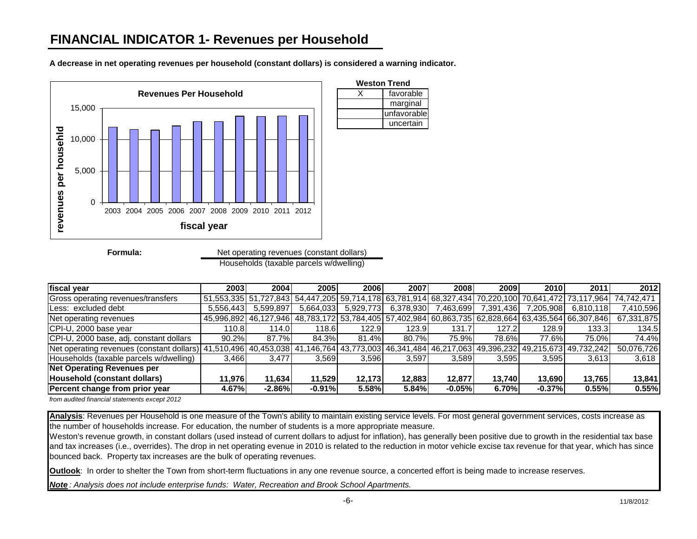

**A decrease in net operating revenues per household (constant dollars) is considered a warning indicator.**

Households (taxable parcels w/dwelling) Net operating revenues (constant dollars)

| fiscal year                                                          | 2003      | 2004      | 2005      | <b>2006</b> | 2007      | 2008         | 2009      | 2010      | 2011                                                                                               | 2012                                                                                                          |
|----------------------------------------------------------------------|-----------|-----------|-----------|-------------|-----------|--------------|-----------|-----------|----------------------------------------------------------------------------------------------------|---------------------------------------------------------------------------------------------------------------|
| Gross operating revenues/transfers                                   |           |           |           |             |           |              |           |           |                                                                                                    | 51,553,335 51,727,843 54,447,205 59,714,178 63,781,914 68,327,434 70,220,100 70,641,472 73,117,964 74,742,471 |
| Less: excluded debt                                                  | 5,556,443 | 5,599,897 | 5.664.033 | 5,929,773   | 6,378,930 | 7,463,699    | 7,391,436 | 7,205,908 | 6,810,118                                                                                          | 7,410,596                                                                                                     |
| Net operating revenues                                               |           |           |           |             |           |              |           |           | 45,996,892 46,127,946 48,783,172 53,784,405 57,402,984 60,863,735 62,828,664 63,435,564 66,307,846 | 67,331,875                                                                                                    |
| CPI-U, 2000 base year                                                | 110.8     | 114.0     | 118.6     | 122.9       | 123.9     | 131.7        | 127.2     | 128.9     | 133.3                                                                                              | 134.5                                                                                                         |
| CPI-U, 2000 base, adj. constant dollars                              | 90.2%     | 87.7%     | 84.3%     | 81.4%       | 80.7%     | <b>75.9%</b> | 78.6%     | 77.6%     | 75.0%                                                                                              | 74.4%                                                                                                         |
| [Net operating revenues (constant dollars)] 41,510,496 40,453,038 41 |           |           |           |             |           |              |           |           | ,146,764  43,773,003  46,341,484  46,217,063  49,396,232  49,215,673  49,732,242                   | 50,076,726                                                                                                    |
| Households (taxable parcels w/dwelling)                              | 3,466     | 3.477     | 3.569     | 3.596       | 3.597     | 3.589        | 3.595     | 3.595     | 3,613                                                                                              | 3,618                                                                                                         |
| <b>Net Operating Revenues per</b>                                    |           |           |           |             |           |              |           |           |                                                                                                    |                                                                                                               |
| Household (constant dollars)                                         | 11.976    | 11.634    | 11.529    | 12,173      | 12.883    | 12,877       | 13.740    | 13.690    | 13,765                                                                                             | 13,841                                                                                                        |
| Percent change from prior year                                       | 4.67%     | $-2.86%$  | $-0.91%$  | 5.58%       | 5.84%     | $-0.05%$     | 6.70%     | $-0.37%$  | 0.55%                                                                                              | 0.55%                                                                                                         |

*from audited financial statements except 2012*

**Analysis**: Revenues per Household is one measure of the Town's ability to maintain existing service levels. For most general government services, costs increase as the number of households increase. For education, the number of students is a more appropriate measure.

Weston's revenue growth, in constant dollars (used instead of current dollars to adjust for inflation), has generally been positive due to growth in the residential tax base and tax increases (i.e., overrides). The drop in net operating evenue in 2010 is related to the reduction in motor vehicle excise tax revenue for that year, which has since bounced back. Property tax increases are the bulk of operating revenues.

**Outlook**: In order to shelter the Town from short-term fluctuations in any one revenue source, a concerted effort is being made to increase reserves.

*Note : Analysis does not include enterprise funds: Water, Recreation and Brook School Apartments.*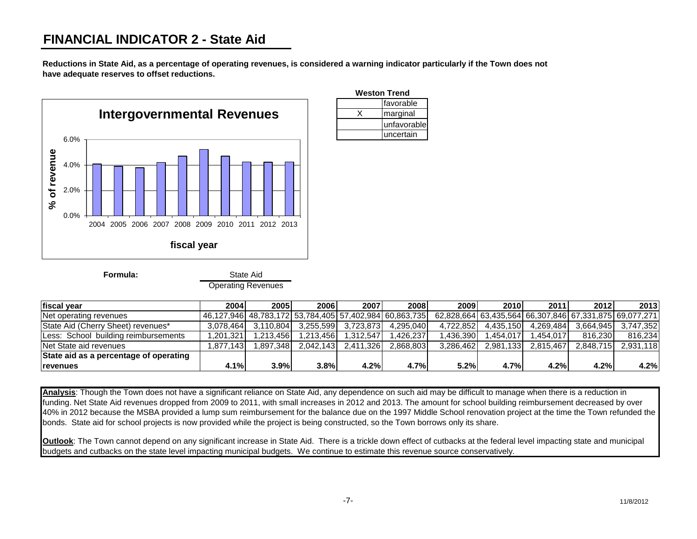### **FINANCIAL INDICATOR 2 - State Aid**

**Reductions in State Aid, as a percentage of operating revenues, is considered a warning indicator particularly if the Town does not have adequate reserves to offset reductions.**



Operating Revenues

| <b>Weston Trend</b> |  |  |  |  |  |  |  |
|---------------------|--|--|--|--|--|--|--|
| <b>Ifavorable</b>   |  |  |  |  |  |  |  |
| marginal            |  |  |  |  |  |  |  |
| unfavorable         |  |  |  |  |  |  |  |
| uncertain           |  |  |  |  |  |  |  |

| <b>Ifiscal vear</b>                    | 2004       | 2005      | 2006      | 2007      | 2008                                                       | 2009      | 2010      | 2011      | 2012                                                   | 2013      |
|----------------------------------------|------------|-----------|-----------|-----------|------------------------------------------------------------|-----------|-----------|-----------|--------------------------------------------------------|-----------|
| Net operating revenues                 |            |           |           |           | 46,127,946  48,783,172  53,784,405  57,402,984  60,863,735 |           |           |           | 62,828,664 63,435,564 66,307,846 67,331,875 69,077,271 |           |
| State Aid (Cherry Sheet) revenues*     | 3.078.464  | 3.110.804 | 3.255.599 | 3.723.873 | 4.295.040                                                  | 4.722.852 | 4.435.150 | 4.269.484 | 3.664.945                                              | 3.747.352 |
| Less: School building reimbursements   | 1,201,321  | .213.456  | 1.213.456 | 1.312.547 | .426.237                                                   | .436.390  | .454.017  | .454.017  | 816.230                                                | 816,234   |
| Net State aid revenues                 | 1.877.1431 | .897.348  | 2.042.143 | 2.411.326 | 2.868.803                                                  | 3.286.462 | 2.981.133 | 2.815.467 | 2.848.715                                              | 2.931.118 |
| State aid as a percentage of operating |            |           |           |           |                                                            |           |           |           |                                                        |           |
| <b>Irevenues</b>                       | 4.1%       | 3.9%      | 3.8%      | 4.2%      | 4.7%                                                       | 5.2%      | 4.7%      | 4.2%      | 4.2%                                                   | 4.2%      |

**Analysis**: Though the Town does not have a significant reliance on State Aid, any dependence on such aid may be difficult to manage when there is a reduction in funding. Net State Aid revenues dropped from 2009 to 2011, with small increases in 2012 and 2013. The amount for school building reimbursement decreased by over 40% in 2012 because the MSBA provided a lump sum reimbursement for the balance due on the 1997 Middle School renovation project at the time the Town refunded the bonds. State aid for school projects is now provided while the project is being constructed, so the Town borrows only its share.

**Outlook**: The Town cannot depend on any significant increase in State Aid. There is a trickle down effect of cutbacks at the federal level impacting state and municipal budgets and cutbacks on the state level impacting municipal budgets. We continue to estimate this revenue source conservatively.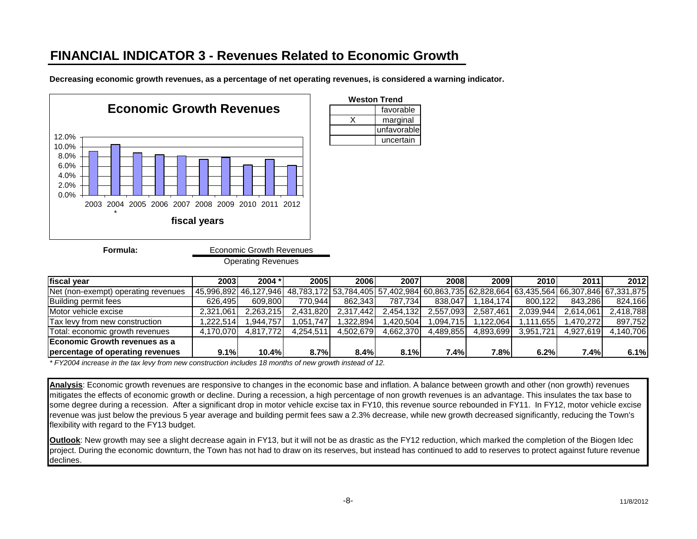## **FINANCIAL INDICATOR 3 - Revenues Related to Economic Growth**

Operating Revenues

**Decreasing economic growth revenues, as a percentage of net operating revenues, is considered a warning indicator.**



| <b>Weston Trend</b> |
|---------------------|
| favorable           |
| marginal            |
| unfavorable         |
| uncertain           |

**fiscal year 2003 2004 \* 2005 2006 2007 2008 2009 2010 2011 2012** Net (non-exempt) operating revenues (45,996,892 46,127,946 48,783,172 53,784,405 57,402,984 60,863,735 62,828,664 63,435,564 66,307,846 67,331,875 Building permit fees 626,495 609,800 770,944 862,343 787,734 838,047 1,184,174 800,122 843,286 824,166 Motor vehicle excise 2,321,061 2,263,215 2,431,820 2,317,442 2,454,132 2,557,093 2,587,461 2,039,944 2,614,061 2,418,788 Tax levy from new construction 1,222,514 1,944,757 1,051,747 1,322,894 1,420,504 1,094,715 1,122,064 1,111,655 1,470,272 897,752 Total: economic growth revenues 4,170,070 4,817,772 4,254,511 4,502,679 4,662,370 4,489,855 4,893,699 3,951,721 4,927,619 4,140,706 **Economic Growth revenues as a percentage of operating revenues 9.1% 10.4% 8.7% 8.4% 8.1% 7.4% 7.8% 6.2% 7.4% 6.1%**

*\* FY2004 increase in the tax levy from new construction includes 18 months of new growth instead of 12.*

**Analysis**: Economic growth revenues are responsive to changes in the economic base and inflation. A balance between growth and other (non growth) revenues mitigates the effects of economic growth or decline. During a recession, a high percentage of non growth revenues is an advantage. This insulates the tax base to some degree during a recession. After a significant drop in motor vehicle excise tax in FY10, this revenue source rebounded in FY11. In FY12, motor vehicle excise revenue was just below the previous 5 year average and building permit fees saw a 2.3% decrease, while new growth decreased significantly, reducing the Town's flexibility with regard to the FY13 budget.

**Outlook**: New growth may see a slight decrease again in FY13, but it will not be as drastic as the FY12 reduction, which marked the completion of the Biogen Idec project. During the economic downturn, the Town has not had to draw on its reserves, but instead has continued to add to reserves to protect against future revenue declines.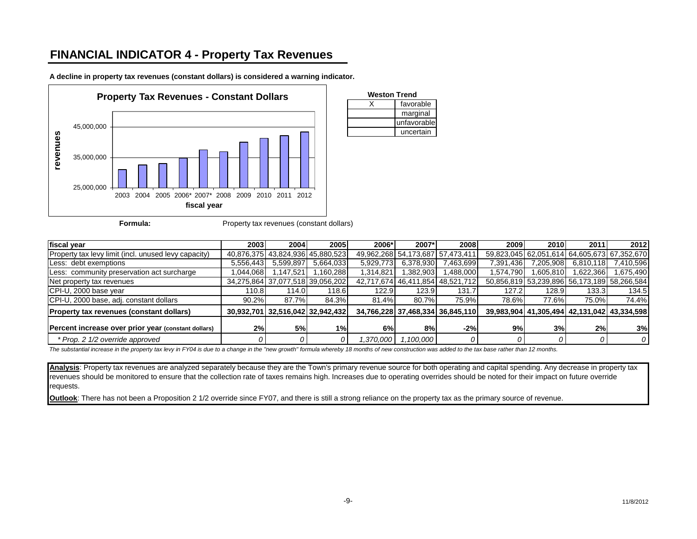### **FINANCIAL INDICATOR 4 - Property Tax Revenues**



**A decline in property tax revenues (constant dollars) is considered a warning indicator.**



| fiscal year                                          | 2003      | 2004      | 2005                             | 2006*     | 2007*                           | 2008                             | 2009      | 2010      | 2011      | 2012                                        |
|------------------------------------------------------|-----------|-----------|----------------------------------|-----------|---------------------------------|----------------------------------|-----------|-----------|-----------|---------------------------------------------|
| Property tax levy limit (incl. unused levy capacity) |           |           | 40,876,375 43,824,936 45,880,523 |           | 49,962,268 54,173,687 57,473,41 |                                  |           |           |           | 59.823.045 62.051.614 64.605.673 67.352.670 |
| Less: debt exemptions                                | 5,556,443 | 5,599,897 | 5,664,033                        | 5,929,773 | 6,378,930                       | 7,463,699                        | 7,391,436 | 7.205.908 | 6,810,118 | 7,410,596                                   |
| Less: community preservation act surcharge           | 0.044,068 | .147,521  | .160,288                         | 1,314,821 | 382,903                         | ,488,000                         | 1,574,790 | ,605,810  | 622,366   | 1,675,490                                   |
| Net property tax revenues                            |           |           | 34,275,864 37,077,518 39,056,202 |           |                                 | 42,717,674 46,411,854 48,521,712 |           |           |           | 50,856,819 53,239,896 56,173,189 58,266,584 |
| CPI-U, 2000 base year                                | 110.8     | 114.0     | 118.6                            | 122.9     | 123.9                           | 131.7                            | 127.2     | 128.9     | 133.3     | 134.5                                       |
| CPI-U, 2000 base, adj. constant dollars              | 90.2%     | 87.7%     | 84.3%                            | 81.4%     | 80.7%                           | 75.9%                            | 78.6%     | 77.6%     | 75.0%     | 74.4%                                       |
| <b>Property tax revenues (constant dollars)</b>      |           |           | 30,932,701 32,516,042 32,942,432 |           |                                 | 34,766,228 37,468,334 36,845,110 |           |           |           | 39,983,904 41,305,494 42,131,042 43,334,598 |
| Percent increase over prior year (constant dollars)  | 2%        | 5%        | 1%                               | 6%        | 8%                              | $-2%$                            | 9%        | 3%        | 2%        | 3%                                          |
| * Prop. 2 1/2 override approved                      | 0         |           |                                  |           |                                 |                                  |           |           |           | 0                                           |

X favorable marginal unfavorable uncertain

**Weston Trend**

*The substantial increase in the property tax levy in FY04 is due to a change in the "new growth" formula whereby 18 months of new construction was added to the tax base rather than 12 months.*

**Analysis**: Property tax revenues are analyzed separately because they are the Town's primary revenue source for both operating and capital spending. Any decrease in property tax revenues should be monitored to ensure that the collection rate of taxes remains high. Increases due to operating overrides should be noted for their impact on future override requests.

**Outlook**: There has not been a Proposition 2 1/2 override since FY07, and there is still a strong reliance on the property tax as the primary source of revenue.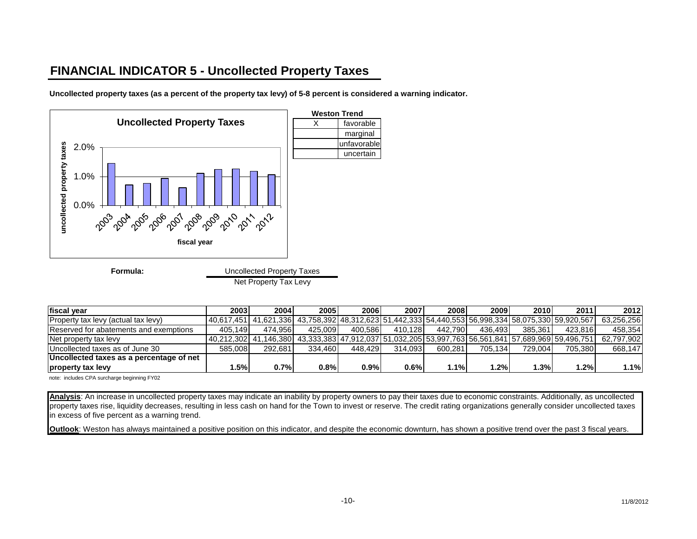### **FINANCIAL INDICATOR 5 - Uncollected Property Taxes**

**Uncollected property taxes (as a percent of the property tax levy) of 5-8 percent is considered a warning indicator.**



Net Property Tax Levy

| fiscal year                              | 2003    | 2004 l                                                                                                        | 2005    | 2006l   | 2007    | 2008    | 2009    | 2010    | 2011    | 2012       |
|------------------------------------------|---------|---------------------------------------------------------------------------------------------------------------|---------|---------|---------|---------|---------|---------|---------|------------|
| Property tax levy (actual tax levy)      |         | l 40.617.451l 41.621.336l 43.758.392l 48.312.623l 51.442.333l 54.440.553l 56.998.334l 58.075.330l 59.920.567l |         |         |         |         |         |         |         | 63.256.256 |
| Reserved for abatements and exemptions   | 405.149 | 474.956                                                                                                       | 425.009 | 400.586 | 410.128 | 442.790 | 436.493 | 385.361 | 423.816 | 458.354    |
| Net property tax levy                    |         | ا 41.146.380 43.333.383 47.912.037 151.032.205 53.997.763 56.561.841 57.689.969 59.496.751 المواطنة           |         |         |         |         |         |         |         | 62.797.902 |
| Uncollected taxes as of June 30          | 585.008 | 292.681                                                                                                       | 334.460 | 448.429 | 314.093 | 600.281 | 705.134 | 729.004 | 705.380 | 668.147    |
| Uncollected taxes as a percentage of net |         |                                                                                                               |         |         |         |         |         |         |         |            |
| property tax levy                        | .5%     | 0.7%                                                                                                          | 0.8%    | 0.9%    | 0.6%    | 1.1%    | $1.2\%$ | .3%     | 1.2%    | 1.1%       |

note: includes CPA surcharge beginning FY02

**Analysis**: An increase in uncollected property taxes may indicate an inability by property owners to pay their taxes due to economic constraints. Additionally, as uncollected property taxes rise, liquidity decreases, resulting in less cash on hand for the Town to invest or reserve. The credit rating organizations generally consider uncollected taxes in excess of five percent as a warning trend.

**Outlook**: Weston has always maintained a positive position on this indicator, and despite the economic downturn, has shown a positive trend over the past 3 fiscal years.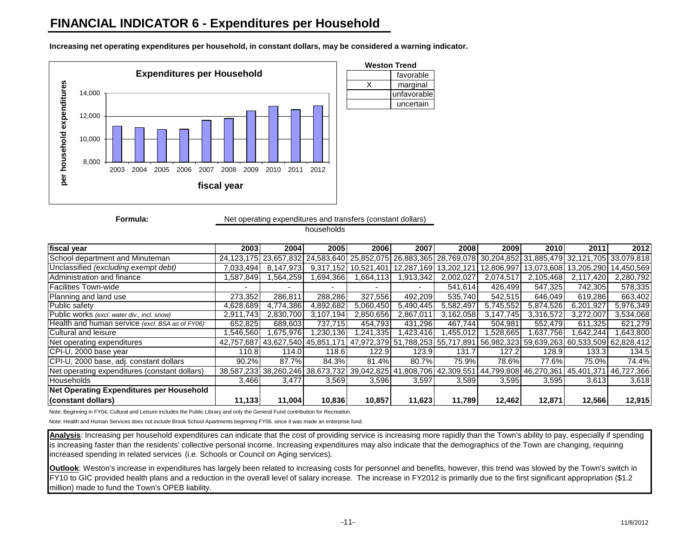### **FINANCIAL INDICATOR 6 - Expenditures per Household**

**Weston Trend Expenditures per Household**favorable per household expenditures **per household expenditures** X marginal 14,000 unfavorable uncertain 12,000 10,000 8,000 2003 2004 2005 2006 2007 2008 2009 2010 2011 2012 **fiscal year**

**Increasing net operating expenditures per household, in constant dollars, may be considered a warning indicator.**

**Formula:**

Net operating expenditures and transfers (constant dollars)

households

| fiscal year                                     | 2003                     | 2004      | <b>2005</b> | 2006                                                                                                          | 2007                     | 2008      | 2009                  | 2010      | 2011        | 2012       |
|-------------------------------------------------|--------------------------|-----------|-------------|---------------------------------------------------------------------------------------------------------------|--------------------------|-----------|-----------------------|-----------|-------------|------------|
| School department and Minuteman                 |                          |           |             | 24,123,175 23,657,832 24,583,640 25,852,075 26,883,365 28,769,078 30,204,852 31,885,479 32,121,705 33,079,818 |                          |           |                       |           |             |            |
| Unclassified (excluding exempt debt)            | 7.033.494                | 8.147.973 |             | 9,317,152 10,521,401 12,287,169 13,202,121 12,806,997 13,073,608 13,205,290 14,450,569                        |                          |           |                       |           |             |            |
| Administration and finance                      | .587,849                 | .564,259  | 1,694,366   | .664,113                                                                                                      | 1,913,342                | 2,002,027 | 2,074,517             | 2,105,468 | 2,117,420   | 2,280,792  |
| <b>Facilities Town-wide</b>                     | $\overline{\phantom{0}}$ | ۰         |             |                                                                                                               | $\overline{\phantom{0}}$ | 541.614   | 426.499               | 547.325   | 742.305     | 578,335    |
| Planning and land use                           | 273.352                  | 286.811   | 288.286     | 327.556                                                                                                       | 492.209                  | 535,740   | 542.515               | 646.049   | 619.286     | 663,402    |
| Public safety                                   | 4,628,689                | 4.774.386 | 4,892,682   | 5.060.450                                                                                                     | 5.490.445                | 5,582,497 | 5,745,552             | 5.874.526 | 6,201,927   | 5,976,349  |
| Public works (excl. water div., incl. snow)     | 2,911,743                | 2,830,700 | 3,107,194   | 2,850,656                                                                                                     | 2,867,011                | 3,162,058 | 3,147,745             | 3,316,572 | 3,272,007   | 3,534,068  |
| Health and human service (excl. BSA as of FY06) | 652,825                  | 689.603   | 737.715     | 454.793                                                                                                       | 431.296                  | 467.744   | 504.981               | 552.479   | 611.325     | 621,279    |
| Cultural and leisure                            | .546,560                 | .675,976  | 1,230,136   | .241,335                                                                                                      | l,423,416                | .455,012  | .528,665              | 1,637,756 | .642,244    | 643,800    |
| Net operating expenditures                      |                          |           |             | 42.757.687 43.627.540 45.851.171 47.972.379 51.788.253 55.717.891 56.982.323 59.639.263 60.533.509 62.828.412 |                          |           |                       |           |             |            |
| CPI-U, 2000 base year                           | 110.8                    | 114.0     | 118.6       | 122.9                                                                                                         | 123.9                    | 131.7     | 127.2                 | 128.9     | 133.3       | 134.5      |
| CPI-U, 2000 base, adj. constant dollars         | 90.2%                    | 87.7%     | 84.3%       | 81.4%                                                                                                         | 80.7%                    | 75.9%     | 78.6%                 | 77.6%     | 75.0%       | 74.4%      |
| Net operating expenditures (constant dollars)   |                          |           |             | 38,587,233 38,260,246 38,673,732 39,042,825 41,808,706 42,309,551                                             |                          |           | 44,799,808 46,270,361 |           | 145,401,371 | 46,727,366 |
| Households                                      | 3,466                    | 3,477     | 3,569       | 3,596                                                                                                         | 3,597                    | 3,589     | 3,595                 | 3,595     | 3,613       | 3,618      |
| <b>Net Operating Expenditures per Household</b> |                          |           |             |                                                                                                               |                          |           |                       |           |             |            |
| (constant dollars)                              | 11,133                   | 11,004    | 10,836      | 10,857                                                                                                        | 11,623                   | 11,789    | 12,462                | 12.871    | 12,566      | 12,915     |

Note: Beginning in FY04, Cultural and Leisure includes the Public Library and only the General Fund contribution for Recreation.

Note: Health and Human Services does not include Brook School Apartments beginning FY06, since it was made an enterprise fund.

Analysis: Increasing per household expenditures can indicate that the cost of providing service is increasing more rapidly than the Town's ability to pay, especially if spending is increasing faster than the residents' collective personal income. Increasing expenditures may also indicate that the demographics of the Town are changing, requiring increased spending in related services (i.e. Schools or Council on Aging services)*.* 

**Outlook**: Weston's increase in expenditures has largely been related to increasing costs for personnel and benefits, however, this trend was slowed by the Town's switch in FY10 to GIC provided health plans and a reduction in the overall level of salary increase. The increase in FY2012 is primarily due to the first significant appropriation (\$1.2) million) made to fund the Town's OPEB liability.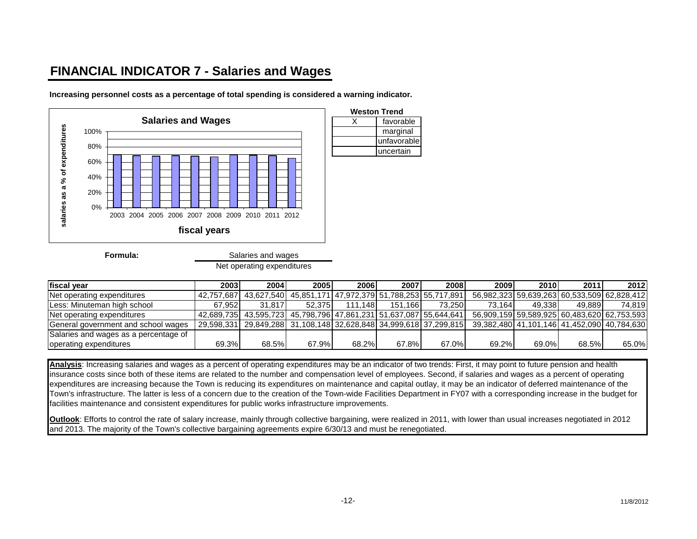## **FINANCIAL INDICATOR 7 - Salaries and Wages**

**Increasing personnel costs as a percentage of total spending is considered a warning indicator.**



**Formula:**

Salaries and wages

Net operating expenditures

| fiscal year                           | 2003   | 2004                                                                      | 2005    | <b>2006</b>      | 2007    | 2008    | 2009                                        | <b>2010</b> | 2011   | 2012   |
|---------------------------------------|--------|---------------------------------------------------------------------------|---------|------------------|---------|---------|---------------------------------------------|-------------|--------|--------|
| Net operating expenditures            |        | 142,757,687  43,627,540  45,851,171  47,972,379  51,788,253  55,717,891 → |         |                  |         |         | 56.982.323 59.639.263 60.533.509 62.828.412 |             |        |        |
| Less: Minuteman high school           | 67.952 | 31.817                                                                    | 52.3751 | 111.148 <b>L</b> | 151.166 | 73.2501 | 73.164                                      | 49.3381     | 49.889 | 74.819 |
| Net operating expenditures            |        | 42,689,735 43,595,723 45,798,796 47,861,231 51,637,087 55,644,641         |         |                  |         |         | 56,909,159 59,589,925 60,483,620 62,753,593 |             |        |        |
| General government and school wages   |        | 29,598,331 29,849,288 31,108,148 32,628,848 34,999,618 37,299,815         |         |                  |         |         | 39,382,480 41,101,146 41,452,090 40,784,630 |             |        |        |
| Salaries and wages as a percentage of |        |                                                                           |         |                  |         |         |                                             |             |        |        |
| operating expenditures                | 69.3%  | 68.5%                                                                     | 67.9%   | 68.2%            | 67.8%   | 67.0%   | 69.2%                                       | 69.0%       | 68.5%  | 65.0%  |

marginal unfavorable uncertain

**Analysis**: Increasing salaries and wages as a percent of operating expenditures may be an indicator of two trends: First, it may point to future pension and health insurance costs since both of these items are related to the number and compensation level of employees. Second, if salaries and wages as a percent of operating expenditures are increasing because the Town is reducing its expenditures on maintenance and capital outlay, it may be an indicator of deferred maintenance of the Town's infrastructure. The latter is less of a concern due to the creation of the Town-wide Facilities Department in FY07 with a corresponding increase in the budget for facilities maintenance and consistent expenditures for public works infrastructure improvements.

**Outlook**: Efforts to control the rate of salary increase, mainly through collective bargaining, were realized in 2011, with lower than usual increases negotiated in 2012 and 2013. The majority of the Town's collective bargaining agreements expire 6/30/13 and must be renegotiated.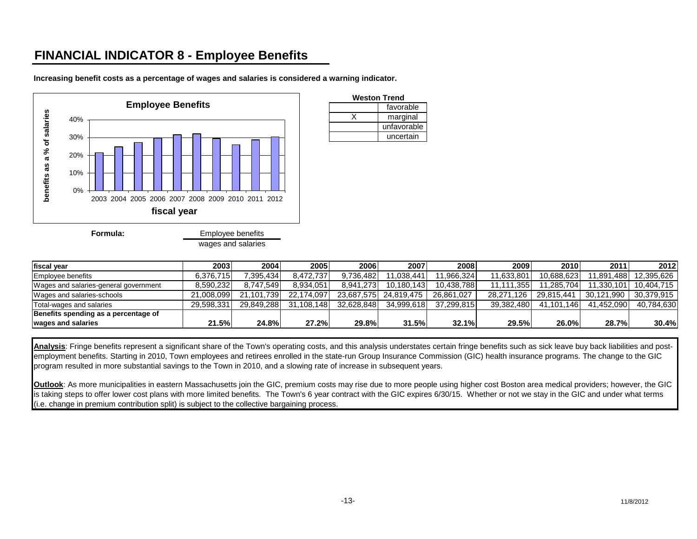## **FINANCIAL INDICATOR 8 - Employee Benefits**



**Increasing benefit costs as a percentage of wages and salaries is considered a warning indicator.**

| wages and salaries |  |
|--------------------|--|

| 20031      | 2004 l       | 2005 I     |                                       | 2007       | 20081                                                                                    |                                   |            | 2011                                                               | 2012                                  |
|------------|--------------|------------|---------------------------------------|------------|------------------------------------------------------------------------------------------|-----------------------------------|------------|--------------------------------------------------------------------|---------------------------------------|
| 6.376.715  |              | 8.472.737  |                                       | 1.038.441  | .966.324                                                                                 |                                   |            | 11.891.488                                                         | 12.395.626                            |
| 8.590.232  | 8.747.549    | 8.934.051  |                                       |            | 10.438.788                                                                               |                                   |            | 11.330.101                                                         | 10.404.715                            |
| 21.008.099 |              | 22.174.097 |                                       |            | 26.861.027                                                                               | 28.271.126                        | 29.815.441 | 30.121.990                                                         | 30.379.915                            |
| 29.598.331 |              |            |                                       |            | 37.299.815                                                                               |                                   |            | 41.452.090                                                         | 40.784.630                            |
|            |              |            |                                       |            |                                                                                          |                                   |            |                                                                    |                                       |
| 21.5%      | <b>24.8%</b> | 27.2%l     |                                       |            | 32.1%                                                                                    | <b>29.5%</b>                      |            | 28.7%                                                              | 30.4%                                 |
|            |              |            | 7.395.434<br>21.101.739<br>29.849.288 | 31.108.148 | <b>2006</b><br>9.736.482<br>8.941.273<br>23.687.575<br>24.819.475<br>32.628.848<br>29.8% | 10.180.143<br>34.999.618<br>31.5% |            | 2010 <br>2009 l<br>11,633,801<br>11.111.355<br>39.382.480<br>26.0% | 10.688.623<br>1.285.704<br>41.101.146 |

favorable

unfavorable uncertain

X marginal

**Weston Trend**

Analysis: Fringe benefits represent a significant share of the Town's operating costs, and this analysis understates certain fringe benefits such as sick leave buy back liabilities and postemployment benefits. Starting in 2010, Town employees and retirees enrolled in the state-run Group Insurance Commission (GIC) health insurance programs. The change to the GIC program resulted in more substantial savings to the Town in 2010, and a slowing rate of increase in subsequent years.

**Outlook**: As more municipalities in eastern Massachusetts join the GIC, premium costs may rise due to more people using higher cost Boston area medical providers; however, the GIC is taking steps to offer lower cost plans with more limited benefits. The Town's 6 year contract with the GIC expires 6/30/15. Whether or not we stay in the GIC and under what terms (i.e. change in premium contribution split) is subject to the collective bargaining process.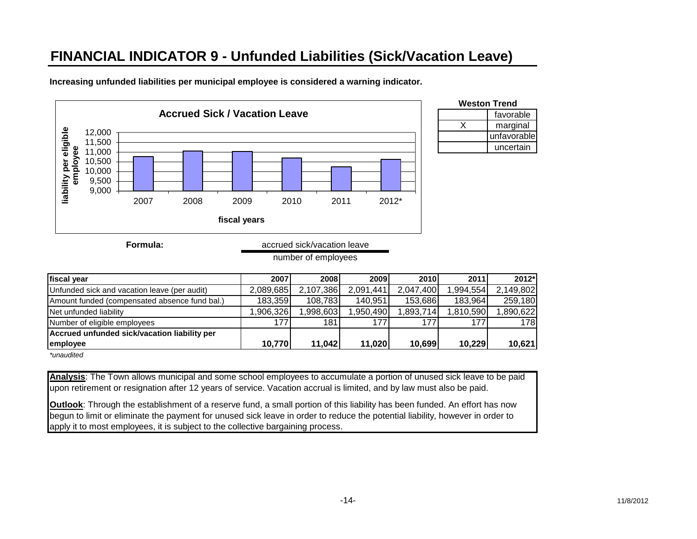# **FINANCIAL INDICATOR 9 - Unfunded Liabilities (Sick/Vacation Leave)**



**Increasing unfunded liabilities per municipal employee is considered a warning indicator.**

| Weston Trend |  |  |  |  |  |  |
|--------------|--|--|--|--|--|--|
| favorable    |  |  |  |  |  |  |
| marginal     |  |  |  |  |  |  |
| unfavorable  |  |  |  |  |  |  |
| uncertain    |  |  |  |  |  |  |
|              |  |  |  |  |  |  |

**Formula:** accrued sick/vacation leave

| number of employees |
|---------------------|
|---------------------|

| fiscal year                                   | 2007      | 2008      | 2009      | 2010      | 2011      | 2012*     |
|-----------------------------------------------|-----------|-----------|-----------|-----------|-----------|-----------|
| Unfunded sick and vacation leave (per audit)  | 2,089,685 | 2,107,386 | 2,091,441 | 2,047,400 | ,994,554  | 2,149,802 |
| Amount funded (compensated absence fund bal.) | 183,359   | 108.783   | 140,951   | 153,686   | 183.964   | 259,180   |
| Net unfunded liability                        | ,906,326  | 1,998,603 | ,950,490  | ,893,714  | 1,810,590 | 1,890,622 |
| Number of eligible employees                  | 1771      | 181       | 177.      | 177       | 177       | 178       |
| Accrued unfunded sick/vacation liability per  |           |           |           |           |           |           |
| employee                                      | 10,770    | 11,042    | 11,020    | 10,699    | 10.229    | 10,621    |

*\*unaudited*

**Analysis**: The Town allows municipal and some school employees to accumulate a portion of unused sick leave to be paid upon retirement or resignation after 12 years of service. Vacation accrual is limited, and by law must also be paid.

**Outlook**: Through the establishment of a reserve fund, a small portion of this liability has been funded. An effort has now begun to limit or eliminate the payment for unused sick leave in order to reduce the potential liability, however in order to apply it to most employees, it is subject to the collective bargaining process.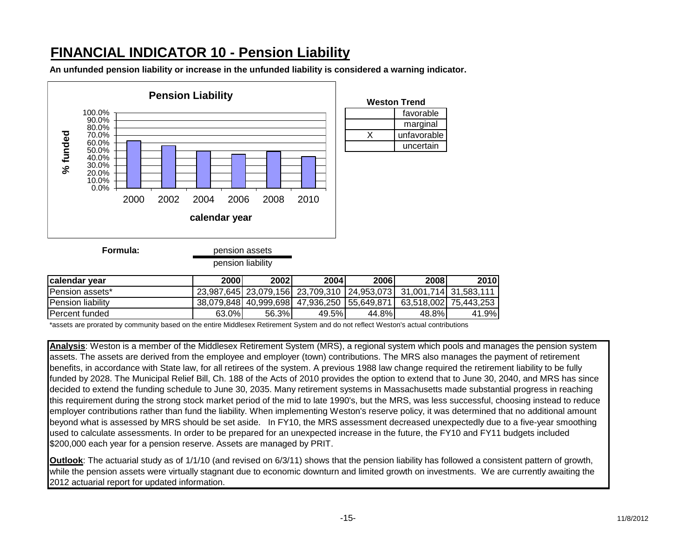## **FINANCIAL INDICATOR 10 - Pension Liability**

**An unfunded pension liability or increase in the unfunded liability is considered a warning indicator.**



**Formula:**

pension assets

pension liability

| <b>Icalendar vear</b>     | 2000l | 2002  | 2004                                                                    | 2006  | 2008  | 2010                  |
|---------------------------|-------|-------|-------------------------------------------------------------------------|-------|-------|-----------------------|
| <b>IPension assets*</b>   |       |       | 23,987,645  23,079,156  23,709,310   24,953,073  31,001,714  31,583,111 |       |       |                       |
| <b>IPension liability</b> |       |       | 38.079.848 40.999.698 47.936.250 55.649.871                             |       |       | 63.518.002 75.443.253 |
| IPercent funded           | 63.0% | 56.3% | 49.5%                                                                   | 44.8% | 48.8% | 41.9%                 |

\*assets are prorated by community based on the entire Middlesex Retirement System and do not reflect Weston's actual contributions

**Analysis**: Weston is a member of the Middlesex Retirement System (MRS), a regional system which pools and manages the pension system assets. The assets are derived from the employee and employer (town) contributions. The MRS also manages the payment of retirement benefits, in accordance with State law, for all retirees of the system. A previous 1988 law change required the retirement liability to be fully funded by 2028. The Municipal Relief Bill, Ch. 188 of the Acts of 2010 provides the option to extend that to June 30, 2040, and MRS has since decided to extend the funding schedule to June 30, 2035. Many retirement systems in Massachusetts made substantial progress in reaching this requirement during the strong stock market period of the mid to late 1990's, but the MRS, was less successful, choosing instead to reduce employer contributions rather than fund the liability. When implementing Weston's reserve policy, it was determined that no additional amount beyond what is assessed by MRS should be set aside. In FY10, the MRS assessment decreased unexpectedly due to a five-year smoothing used to calculate assessments. In order to be prepared for an unexpected increase in the future, the FY10 and FY11 budgets included \$200,000 each year for a pension reserve. Assets are managed by PRIT.

**Outlook**: The actuarial study as of 1/1/10 (and revised on 6/3/11) shows that the pension liability has followed a consistent pattern of growth, while the pension assets were virtually stagnant due to economic downturn and limited growth on investments. We are currently awaiting the 2012 actuarial report for updated information.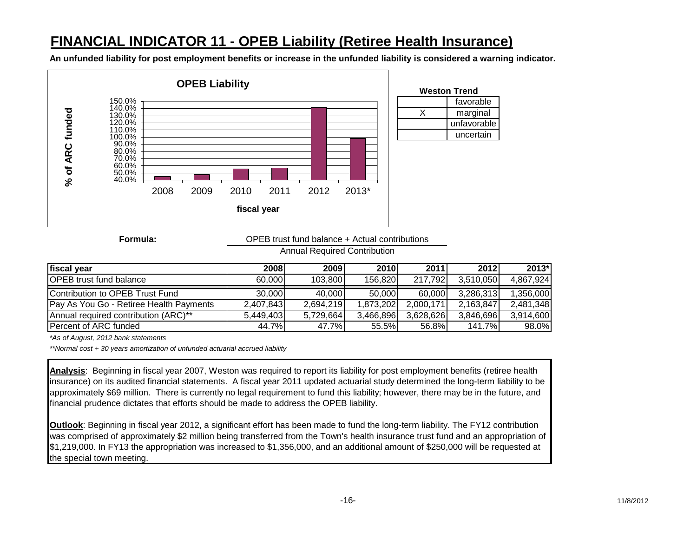## **FINANCIAL INDICATOR 11 - OPEB Liability (Retiree Health Insurance)**

**An unfunded liability for post employment benefits or increase in the unfunded liability is considered a warning indicator.**



**Formula:**

OPEB trust fund balance + Actual contributions

Annual Required Contribution

| fiscal year                             | <b>2008</b> | 2009      | <b>2010</b> | 2011      | <b>2012</b> | $2013*$   |
|-----------------------------------------|-------------|-----------|-------------|-----------|-------------|-----------|
| <b>OPEB</b> trust fund balance          | 60.000      | 103,800   | 156,820     | 217.792   | 3.510.050   | 4.867.924 |
| Contribution to OPEB Trust Fund         | 30,000      | 40,000    | 50,000      | 60.000    | 3,286,313   | 1,356,000 |
| Pay As You Go - Retiree Health Payments | 2.407.843   | 2,694,219 | 1,873,202   | 2.000.171 | 2,163,847   | 2,481,348 |
| Annual required contribution (ARC)**    | 5.449.403   | 5.729.664 | 3.466.896   | 3,628,626 | 3,846,696   | 3,914,600 |
| Percent of ARC funded                   | 44.7%       | 47.7%l    | 55.5%I      | 56.8%     | 141.7%      | 98.0%     |

*\*As of August, 2012 bank statements*

*\*\*Normal cost + 30 years amortization of unfunded actuarial accrued liability*

**Analysis**: Beginning in fiscal year 2007, Weston was required to report its liability for post employment benefits (retiree health insurance) on its audited financial statements. A fiscal year 2011 updated actuarial study determined the long-term liability to be approximately \$69 million. There is currently no legal requirement to fund this liability; however, there may be in the future, and financial prudence dictates that efforts should be made to address the OPEB liability.

**Outlook**: Beginning in fiscal year 2012, a significant effort has been made to fund the long-term liability. The FY12 contribution was comprised of approximately \$2 million being transferred from the Town's health insurance trust fund and an appropriation of \$1,219,000. In FY13 the appropriation was increased to \$1,356,000, and an additional amount of \$250,000 will be requested at the special town meeting.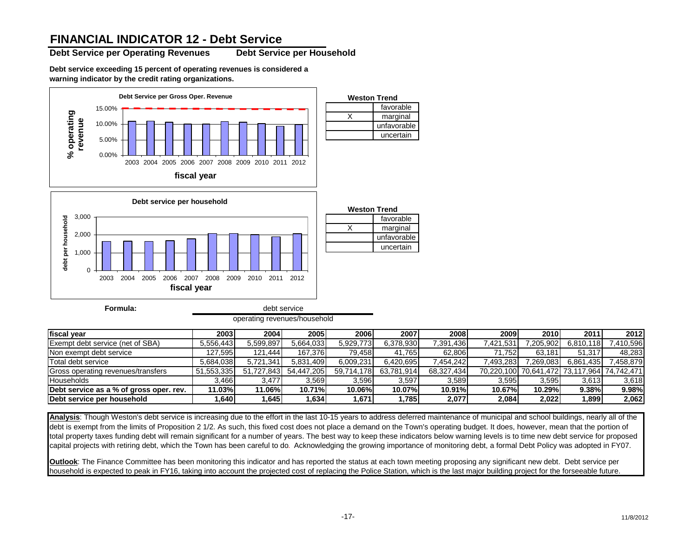### **FINANCIAL INDICATOR 12 - Debt Service**

**Debt Service per Operating Revenues Debt Service per Household**

**Debt service exceeding 15 percent of operating revenues is considered a warning indicator by the credit rating organizations.**



operating revenues/household

| fiscal vear                             | 2003       | 2004       | 2005       | <b>2006</b> | 2007       | 2008       | 2009      | <b>2010</b> | 2011                                        | 2012     |
|-----------------------------------------|------------|------------|------------|-------------|------------|------------|-----------|-------------|---------------------------------------------|----------|
| <b>Exempt debt service (net of SBA)</b> | 5.556.443  | 5.599.897  | 5.664.033  | 5.929.773   | 6.378.930  | 7,391,436  | 421.531.7 | 7,205,902   | 6.810.118                                   | .410,596 |
| Non exempt debt service                 | 127.595    | 121.444    | 167.376    | 79.458      | 41.765     | 62,806     | 71.752    | 63.181      | 51.317                                      | 48,283   |
| Total debt service                      | 5.684.038  | 5.721.341  | 5.831.409  | 6.009.231   | 6,420,695  | .454.242   | 7,493,283 | 7.269.083   | 6.861.435                                   | 458.879  |
| Gross operating revenues/transfers      | 51.553.335 | 51.727.843 | 54.447.205 | 59.714.178  | 63.781.914 | 68.327.434 |           |             | 70,220,100 70,641,472 73,117,964 74,742,471 |          |
| <b>Households</b>                       | 3.466      | 3.477      | 3.569      | 3.596       | 3.597      | 3,589      | 3.595     | 3.595       | 3,613                                       | 3,618    |
| Debt service as a % of gross oper. rev. | 11.03%     | 11.06%     | 10.71%     | 10.06%      | 10.07%     | 10.91%     | 10.67%    | 10.29%      | 9.38%                                       | 9.98%    |
| Debt service per household              | .640       | .645       | 1,634      | 711.6       | ,785       | 2,077      | 2,084     | 2,022       | 1,899                                       | 2,062    |

**Analysis**: Though Weston's debt service is increasing due to the effort in the last 10-15 years to address deferred maintenance of municipal and school buildings, nearly all of the debt is exempt from the limits of Proposition 2 1/2. As such, this fixed cost does not place a demand on the Town's operating budget. It does, however, mean that the portion of total property taxes funding debt will remain significant for a number of years. The best way to keep these indicators below warning levels is to time new debt service for proposed capital projects with retiring debt, which the Town has been careful to do*.* Acknowledging the growing importance of monitoring debt, a formal Debt Policy was adopted in FY07.

**Outlook**: The Finance Committee has been monitoring this indicator and has reported the status at each town meeting proposing any significant new debt. Debt service per household is expected to peak in FY16, taking into account the projected cost of replacing the Police Station, which is the last major building project for the forseeable future.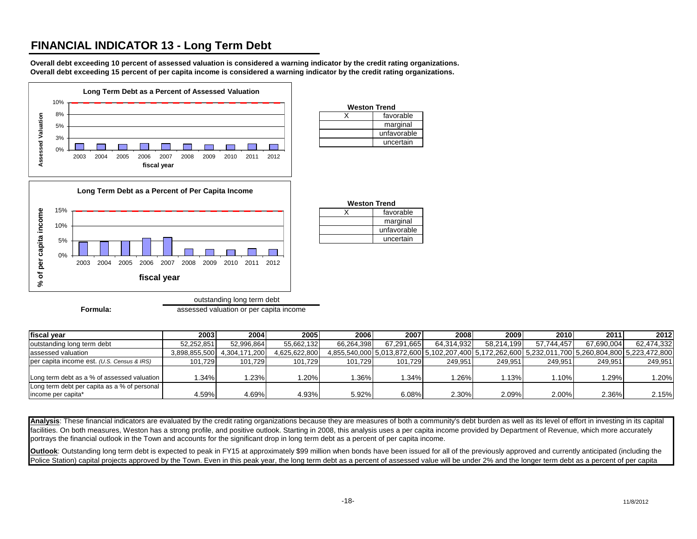### **FINANCIAL INDICATOR 13 - Long Term Debt**

**Overall debt exceeding 10 percent of assessed valuation is considered a warning indicator by the credit rating organizations. Overall debt exceeding 15 percent of per capita income is considered a warning indicator by the credit rating organizations.**



**Formula: assessed valuation or per capita income** 

| fiscal vear                                  | 2003          | 2004          | 2005          | 2006       | 2007       | 2008       | 2009       | 2010                                                                                              | 2011       | 2012       |
|----------------------------------------------|---------------|---------------|---------------|------------|------------|------------|------------|---------------------------------------------------------------------------------------------------|------------|------------|
| outstanding long term debt                   | 52.252.851    | 52.996.864    | 55,662,132    | 66.264.398 | 67.291.665 | 64.314.932 | 58.214.199 | 57.744.457                                                                                        | 67.690.004 | 62,474,332 |
| assessed valuation                           | 3,898,855,500 | 4,304,171,200 | 4,625,622,800 |            |            |            |            | 4,855,540,000 5,013,872,600 5,102,207,400 5,172,262,600 5,232,011,700 5,260,804,800 5,223,472,800 |            |            |
| per capita income est. (U.S. Census & IRS)   | 101.729       | 101.729       | 101.729       | 101.729    | 101.729    | 249.951    | 249.951    | 249.951                                                                                           | 249.951    | 249,951    |
|                                              |               |               |               |            |            |            |            |                                                                                                   |            |            |
| Long term debt as a % of assessed valuation  | .34%          | .23%          | $1.20\%$      | l.36%      | $.34\%$    | .26%       | .13%       | .10%                                                                                              | 1.29%      | 1.20%      |
| Long term debt per capita as a % of personal |               |               |               |            |            |            |            |                                                                                                   |            |            |
| income per capita*                           | 4.59%         | 4.69%         | 4.93%         | 5.92%      | 6.08%      | 2.30%      | 2.09%      | 2.00%                                                                                             | 2.36%      | 2.15%      |

**Weston Trend** X favorable

**Weston Trend** X favorable

marginal unfavorable uncertain

marginal unfavorable uncertain

Analysis: These financial indicators are evaluated by the credit rating organizations because they are measures of both a community's debt burden as well as its level of effort in investing in its capital facilities. On both measures, Weston has a strong profile, and positive outlook. Starting in 2008, this analysis uses a per capita income provided by Department of Revenue, which more accurately portrays the financial outlook in the Town and accounts for the significant drop in long term debt as a percent of per capita income.

**Outlook**: Outstanding long term debt is expected to peak in FY15 at approximately \$99 million when bonds have been issued for all of the previously approved and currently anticipated (including the Police Station) capital projects approved by the Town. Even in this peak year, the long term debt as a percent of assessed value will be under 2% and the longer term debt as a percent of per capita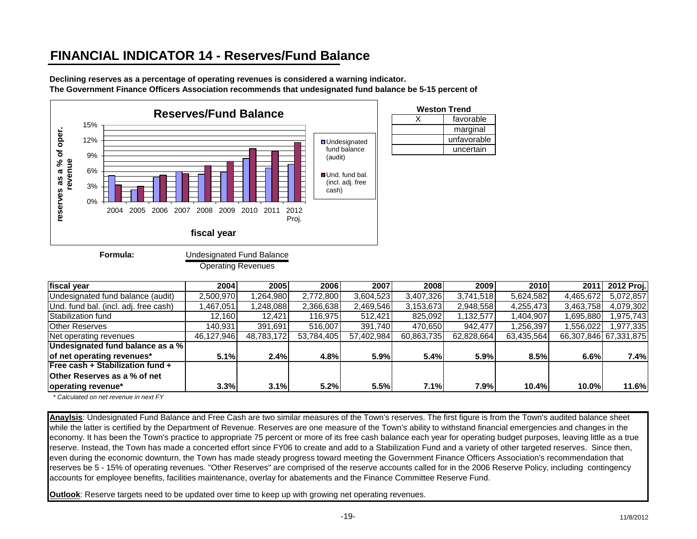## **FINANCIAL INDICATOR 14 - Reserves/Fund Balance**

**Declining reserves as a percentage of operating revenues is considered a warning indicator. The Government Finance Officers Association recommends that undesignated fund balance be 5-15 percent of** 



| <b>Weston Trend</b> |             |  |  |  |  |  |  |
|---------------------|-------------|--|--|--|--|--|--|
|                     | favorable   |  |  |  |  |  |  |
|                     | marginal    |  |  |  |  |  |  |
|                     | unfavorable |  |  |  |  |  |  |
|                     | uncertain   |  |  |  |  |  |  |

**Formula:**

Undesignated Fund Balance

Operating Revenues

| fiscal year                           | 2004       | 2005       | 2006       | 2007       | 2008       | 2009       | 2010       | 2011      | 2012 Proj.            |
|---------------------------------------|------------|------------|------------|------------|------------|------------|------------|-----------|-----------------------|
| Undesignated fund balance (audit)     | 2,500,970  | 1,264,980  | 2,772,800  | 3,604,523  | 3,407,326  | 3,741,518  | 5,624,582  | 4,465,672 | 5,072,857             |
| Und. fund bal. (incl. adj. free cash) | ,467,051   | 1,248,088  | 2,366,638  | 2,469,546  | 3,153,673  | 2,948,558  | 4,255,473  | 3,463,758 | 4,079,302             |
| Stabilization fund                    | 12.160     | 12.421     | 116,975    | 512,421    | 825,092    | 1,132,577  | 1,404,907  | 695,880.  | .975.743              |
| <b>Other Reserves</b>                 | 140,931    | 391,691    | 516.007    | 391.740    | 470,650    | 942,477    | 1,256,397  | 556,022   | 1,977,335             |
| Net operating revenues                | 46,127,946 | 48,783,172 | 53,784,405 | 57,402,984 | 60,863,735 | 62,828,664 | 63,435,564 |           | 66,307,846 67,331,875 |
| Undesignated fund balance as a %      |            |            |            |            |            |            |            |           |                       |
| of net operating revenues*            | 5.1%       | 2.4%       | 4.8%       | 5.9%       | 5.4%       | 5.9%       | 8.5%       | 6.6%      | 7.4%                  |
| Free cash + Stabilization fund +      |            |            |            |            |            |            |            |           |                       |
| <b>Other Reserves as a % of net</b>   |            |            |            |            |            |            |            |           |                       |
| operating revenue*                    | 3.3%       | 3.1%       | 5.2%       | 5.5%       | 7.1%       | 7.9%       | 10.4%      | 10.0%     | 11.6%                 |

 *\* Calculated on net revenue in next FY*

**Anaylsis**: Undesignated Fund Balance and Free Cash are two similar measures of the Town's reserves. The first figure is from the Town's audited balance sheet while the latter is certified by the Department of Revenue. Reserves are one measure of the Town's ability to withstand financial emergencies and changes in the economy. It has been the Town's practice to appropriate 75 percent or more of its free cash balance each year for operating budget purposes, leaving little as a true reserve. Instead, the Town has made a concerted effort since FY06 to create and add to a Stabilization Fund and a variety of other targeted reserves. Since then, even during the economic downturn, the Town has made steady progress toward meeting the Government Finance Officers Association's recommendation that reserves be 5 - 15% of operating revenues. "Other Reserves" are comprised of the reserve accounts called for in the 2006 Reserve Policy, including contingency accounts for employee benefits, facilities maintenance, overlay for abatements and the Finance Committee Reserve Fund.

**Outlook**: Reserve targets need to be updated over time to keep up with growing net operating revenues.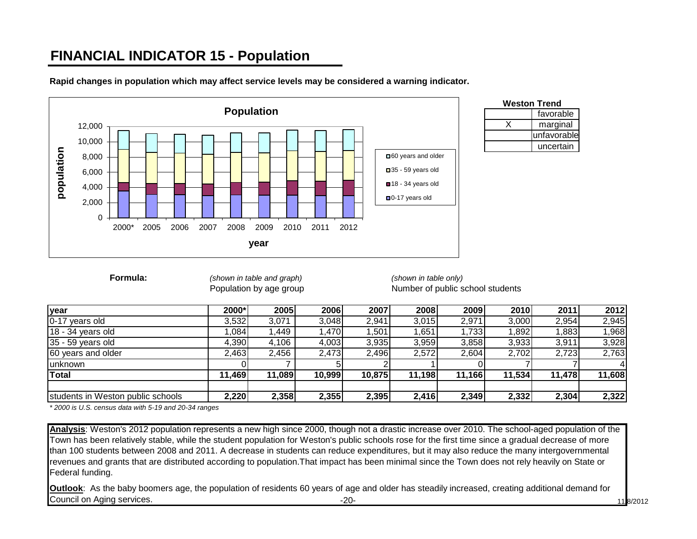# **FINANCIAL INDICATOR 15 - Population**



**Rapid changes in population which may affect service levels may be considered a warning indicator.**

| <b>Weston Trend</b> |             |  |  |  |  |  |
|---------------------|-------------|--|--|--|--|--|
|                     | favorable   |  |  |  |  |  |
|                     | marginal    |  |  |  |  |  |
|                     | unfavorable |  |  |  |  |  |
|                     | uncertain   |  |  |  |  |  |

**Formula:** *(shown in table and graph) (shown in table only)*

Population by age group Number of public school students

| year                              | 2000*  | 2005   | 2006   | 2007   | 2008   | 2009   | 2010   | 2011   | 2012   |
|-----------------------------------|--------|--------|--------|--------|--------|--------|--------|--------|--------|
| 0-17 years old                    | 3,532  | 3,071  | 3,048  | 2,941  | 3,015  | 2,971  | 3,000  | 2,954  | 2,945  |
| 18 - 34 years old                 | .084   | .449   | 1,470  | 1,501  | 1,651  | 1,733  | 1,892  | 1,883  | 1,968  |
| 35 - 59 years old                 | 4,390  | 4,106  | 4,003  | 3,935  | 3,959  | 3,858  | 3,933  | 3,911  | 3,928  |
| 60 years and older                | 2,463  | 2,456  | 2,473  | 2,496  | 2,572  | 2,604  | 2,702  | 2,723  | 2,763  |
| <b>unknown</b>                    |        |        |        |        |        |        |        |        |        |
| <b>Total</b>                      | 11,469 | 11,089 | 10,999 | 10,875 | 11,198 | 11,166 | 11,534 | 11,478 | 11,608 |
| students in Weston public schools | 2,220  | 2,358  | 2,355  | 2,395  | 2,416  | 2,349  | 2,332  | 2,304  | 2,322  |

*\* 2000 is U.S. census data with 5-19 and 20-34 ranges*

**Analysis**: Weston's 2012 population represents a new high since 2000, though not a drastic increase over 2010. The school-aged population of the Town has been relatively stable, while the student population for Weston's public schools rose for the first time since a gradual decrease of more than 100 students between 2008 and 2011. A decrease in students can reduce expenditures, but it may also reduce the many intergovernmental revenues and grants that are distributed according to population.That impact has been minimal since the Town does not rely heavily on State or Federal funding.

-20- 11/8/2012 **Outlook**: As the baby boomers age, the population of residents 60 years of age and older has steadily increased, creating additional demand for Council on Aging services.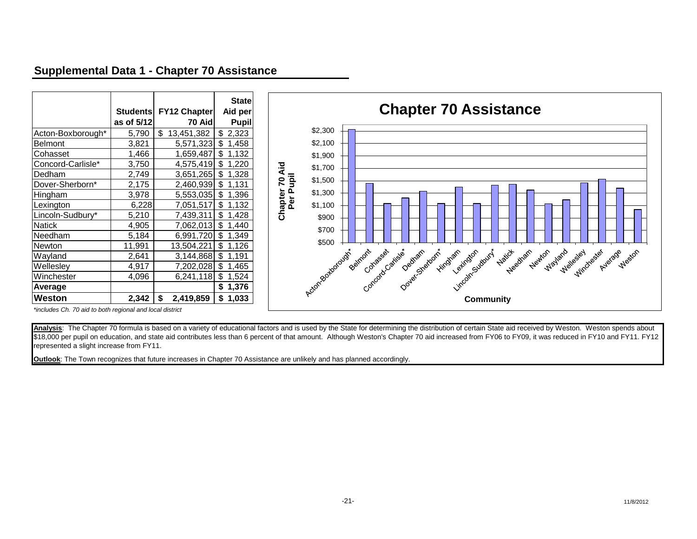### **Supplemental Data 1 - Chapter 70 Assistance**

|                   | <b>Students</b><br>as of 5/12 | <b>FY12 Chapter</b><br>70 Aid | <b>State</b><br>Aid per<br><b>Pupil</b> |
|-------------------|-------------------------------|-------------------------------|-----------------------------------------|
| Acton-Boxborough* | 5,790                         | \$<br>13,451,382              | \$<br>2,323                             |
| Belmont           | 3,821                         | 5,571,323                     | \$<br>1,458                             |
| Cohasset          | 1,466                         | 1,659,487                     | \$<br>1,132                             |
| Concord-Carlisle* | 3,750                         | 4,575,419                     | \$<br>1,220                             |
| Dedham            | 2,749                         | 3,651,265                     | \$<br>1,328                             |
| Dover-Sherborn*   | 2,175                         | 2,460,939                     | \$<br>1,131                             |
| Hingham           | 3,978                         | 5,553,035                     | \$<br>1,396                             |
| Lexington         | 6,228                         | 7,051,517                     | \$<br>1,132                             |
| Lincoln-Sudbury*  | 5,210                         | 7,439,311                     | \$<br>1,428                             |
| <b>Natick</b>     | 4,905                         | 7,062,013                     | \$<br>1,440                             |
| Needham           | 5,184                         | 6,991,720                     | \$<br>1,349                             |
| Newton            | 11,991                        | 13,504,221                    | \$<br>1,126                             |
| Wayland           | 2,641                         | 3,144,868                     | \$<br>1,191                             |
| Wellesley         | 4,917                         | 7,202,028                     | \$<br>1,465                             |
| Winchester        | 4,096                         | 6,241,118                     | \$<br>1,524                             |
| Average           |                               |                               | \$<br>1,376                             |
| <b>Weston</b>     | 2,342                         | \$<br>2,419,859               | \$<br>1,033                             |



*\*includes Ch. 70 aid to both regional and local district* 

Analysis: The Chapter 70 formula is based on a variety of educational factors and is used by the State for determining the distribution of certain State aid received by Weston. Weston spends about \$18,000 per pupil on education, and state aid contributes less than 6 percent of that amount. Although Weston's Chapter 70 aid increased from FY06 to FY09, it was reduced in FY10 and FY11. FY12 represented a slight increase from FY11.

**Outlook**: The Town recognizes that future increases in Chapter 70 Assistance are unlikely and has planned accordingly.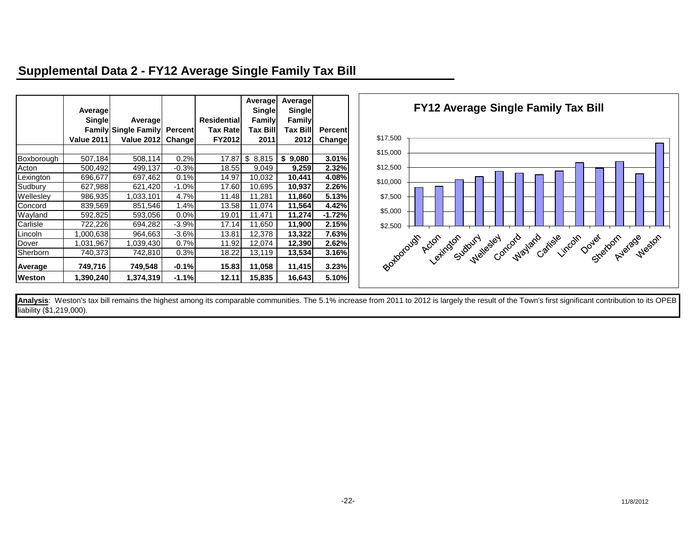### **Supplemental Data 2 - FY12 Average Single Family Tax Bill**

|            | Average           |                             |                |                     | Average<br>Single | Average<br><b>Single</b> |                |
|------------|-------------------|-----------------------------|----------------|---------------------|-------------------|--------------------------|----------------|
|            | Single            | Average                     |                | <b>Residentiall</b> | Family            | Family                   |                |
|            |                   | <b>Family Single Family</b> | <b>Percent</b> | <b>Tax Rate</b>     | <b>Tax Bill</b>   | <b>Tax Bill</b>          | <b>Percent</b> |
|            | <b>Value 2011</b> | Value 2012                  | Change         | FY2012              | 2011              | 2012                     | <b>Change</b>  |
|            |                   |                             |                |                     |                   |                          |                |
| Boxborough | 507,184           | 508,114                     | 0.2%           | 17.87               | \$<br>8,815       | \$<br>9,080              | 3.01%          |
| Acton      | 500,492           | 499,137                     | $-0.3%$        | 18.55               | 9,049             | 9,259                    | 2.32%          |
| Lexington  | 696,677           | 697,462                     | 0.1%           | 14.97               | 10,032            | 10,441                   | 4.08%          |
| Sudbury    | 627,988           | 621,420                     | $-1.0%$        | 17.60               | 10,695            | 10,937                   | 2.26%          |
| Wellesley  | 986,935           | 1,033,101                   | 4.7%           | 11.48               | 11,281            | 11,860                   | 5.13%          |
| Concord    | 839,569           | 851,546                     | 1.4%           | 13.58               | 11,074            | 11,564                   | 4.42%          |
| Wayland    | 592,825           | 593,056                     | $0.0\%$        | 19.01               | 11.471            | 11,274                   | $-1.72%$       |
| Carlisle   | 722,226           | 694,282                     | $-3.9%$        | 17.14               | 11,650            | 11,900                   | 2.15%          |
| Lincoln    | 1,000,638         | 964,663                     | $-3.6%$        | 13.81               | 12,378            | 13,322                   | 7.63%          |
| Dover      | 1,031,967         | 1,039,430                   | 0.7%           | 11.92               | 12,074            | 12,390                   | 2.62%          |
| Sherborn   | 740.373           | 742,810                     | 0.3%           | 18.22               | 13,119            | 13,534                   | 3.16%          |
| Average    | 749,716           | 749,548                     | $-0.1%$        | 15.83               | 11,058            | 11,415                   | 3.23%          |
| Weston     | 1,390,240         | 1,374,319                   | $-1.1%$        | 12.11               | 15,835            | 16,643                   | 5.10%          |



Analysis: Weston's tax bill remains the highest among its comparable communities. The 5.1% increase from 2011 to 2012 is largely the result of the Town's first significant contribution to its OPEB liability (\$1,219,000).